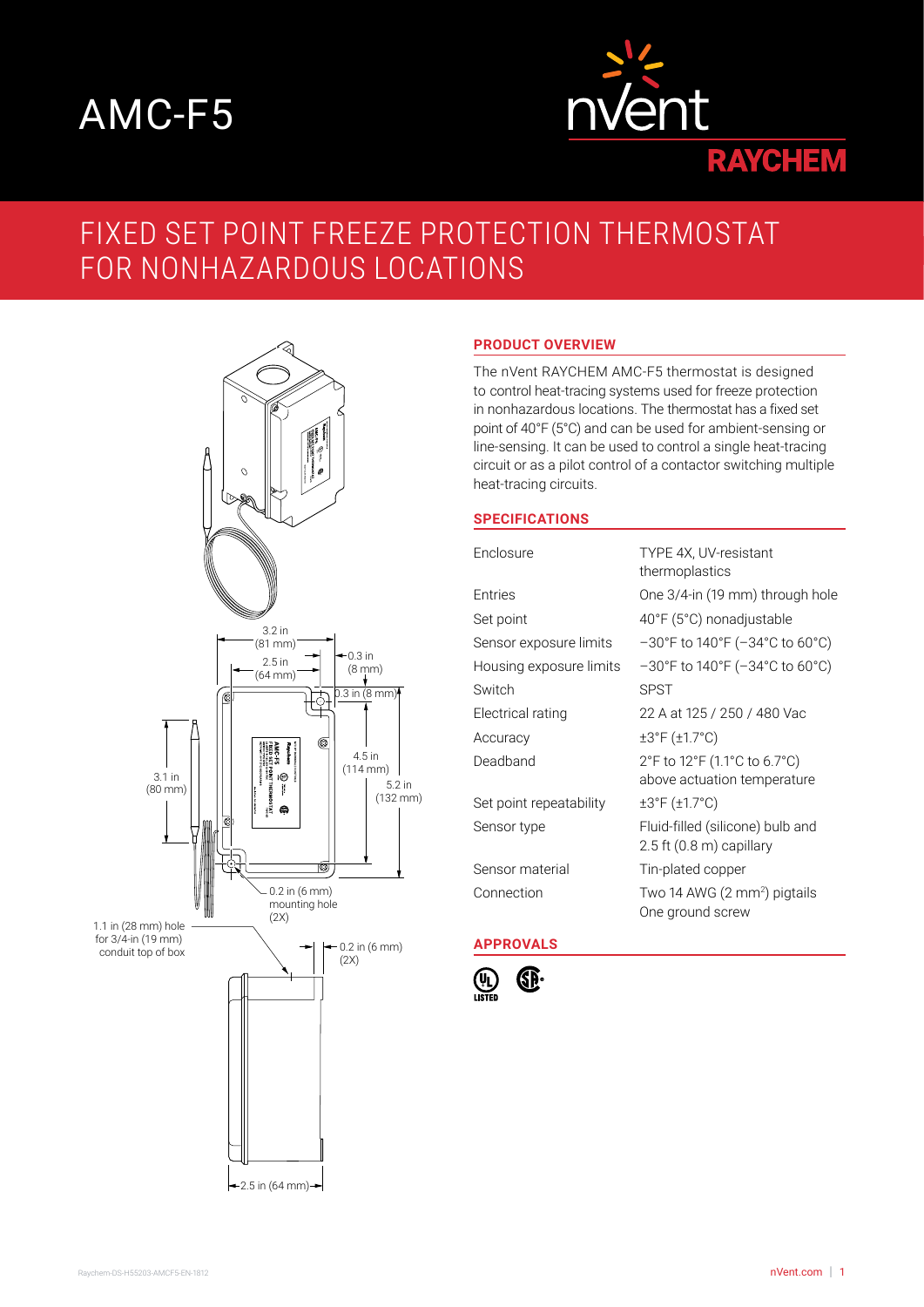# AMC-F5



# FIXED SET POINT FREEZE PROTECTION THERMOSTAT FOR NONHAZARDOUS LOCATIONS



### **PRODUCT OVERVIEW**

The nVent RAYCHEM AMC-F5 thermostat is designed to control heat-tracing systems used for freeze protection in nonhazardous locations. The thermostat has a fixed set point of 40°F (5°C) and can be used for ambient-sensing or line-sensing. It can be used to control a single heat-tracing circuit or as a pilot control of a contactor switching multiple heat-tracing circuits.

#### **SPECIFICATIONS**

| Enclosure               | TYPE 4X, UV-resistant<br>thermoplastics                                  |
|-------------------------|--------------------------------------------------------------------------|
| Entries                 | One 3/4-in (19 mm) through hole                                          |
| Set point               | 40°F (5°C) nonadjustable                                                 |
| Sensor exposure limits  | $-30^{\circ}$ F to 140°F ( $-34^{\circ}$ C to 60°C)                      |
| Housing exposure limits | $-30^{\circ}$ F to 140°F ( $-34^{\circ}$ C to 60°C)                      |
| Switch                  | <b>SPST</b>                                                              |
| Electrical rating       | 22 A at 125 / 250 / 480 Vac                                              |
| Accuracy                | ±3°F (±1.7°C)                                                            |
| Deadband                | 2°F to 12°F (1.1°C to 6.7°C)<br>above actuation temperature              |
| Set point repeatability | ±3°F (±1.7°C)                                                            |
| Sensor type             | Fluid-filled (silicone) bulb and<br>$2.5$ ft $(0.8 \text{ m})$ capillary |
| Sensor material         | Tin-plated copper                                                        |
| Connection              | Two 14 AWG (2 mm <sup>2</sup> ) pigtails<br>One ground screw             |

## **APPROVALS**